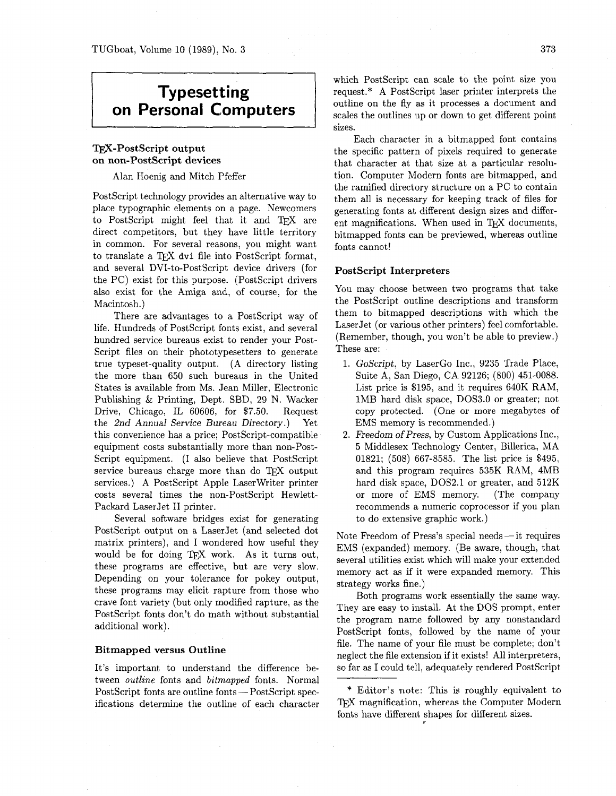# **Typesetting on Personal Computers**

# **TFX-PostScript output on non-Postscript devices**

Alan Hoenig and Mitch Pfeffer

PostScript technology provides an alternative way to place typographic elements on a page. Newcomers to PostScript might feel that it and TFX are direct competitors, but they have little territory in common. For several reasons, you might want to translate a TFX dvi file into PostScript format. and several DVI-to-PostScript device drivers (for the PC) exist for this purpose. (PostScript drivers also exist for the Amiga and, of course, for the Macintosh.)

There are advantages to a PostScript way of life. Hundreds of PostScript fonts exist, and several hundred service bureaus exist to render your Post-Script files on their phototypesetters to generate true typeset-quality output. (A directory listing the more than 650 such bureaus in the United States is available from Ms. Jean Miller, Electronic Publishing & Printing, Dept. SBD, 29 N. Wacker Drive, Chicago, IL 60606, for \$7.50. Request the 2nd Annual Service Bureau Directory.) Yet this convenience has a price; PostScript-compatible equipment costs substantially more than non-Post-Script equipment. (I also believe that PostScript service bureaus charge more than do TFX output services.) A PostScript Apple Laserwriter printer costs several times the non-Postscript Hewlett-Packard LaserJet I1 printer.

Several software bridges exist for generating PostScript output on a LaserJet (and selected dot matrix printers), and I wondered how useful they would be for doing  $T_{\rm EX}$  work. As it turns out, these programs are effective, but are very slow. Depending on your tolerance for pokey output, these programs may elicit rapture from those who crave font variety (but only modified rapture, as the PostScript fonts don't do math without substantial additional work).

#### **Bitmapped versus Outline**

It's important to understand the difference between outline fonts and bitmapped fonts. Normal PostScript fonts are outline fonts - PostScript specifications determine the outline of each character which PostScript can scale to the point size you request.\* **A** PostScript laser printer interprets the outline on the fly as it processes a document and scales the outlines up or down to get different point sizes.

Each character in a bitmapped font contains the specific pattern of pixels required to generate that character at that size at a particular resolution. Computer Modern fonts are bitmapped, and the ramified directory structure on a PC to contain them all is necessary for keeping track of files for generating fonts at different design sizes and different magnifications. When used in T<sub>EX</sub> documents, bitmapped fonts can be previewed, whereas outline fonts cannot!

#### **PostScript Interpreters**

You may choose between two programs that take the PostScript outline descriptions and transform them to bitmapped descriptions with which the LaserJet (or various other printers) feel comfortable. (Remember, though, you won't be able to preview.) These are:

- 1. GoScript, by LaserGo Inc., 9235 Trade Place, Suite A, San Diego, CA 92126; (800) 451-0088. List price is \$195, and it requires 640K RAM, 1MB hard disk space, DOS3.0 or greater; not copy protected. (One or more megabytes of EMS memory is recommended.)
- Freedom of Press, by Custom Applications Inc., 5 Middlesex Technology Center, Billerica, MA 01821; (508) 667-8585. The list price is \$495, and this program requires 535K RAM, 4MB hard disk space, DOS2.1 or greater, and 512K or more of EMS memory. (The company recommends a numeric coprocessor if you plan to do extensive graphic work.)

Note Freedom of Press's special needs - it requires EMS (expanded) memory. (Be aware, though, that several utilities exist which will make your extended memory act as if it were expanded memory. This strategy works fine.)

Both programs work essentially the same way. They are easy to install. At the DOS prompt, enter the program name followed by any nonstandard PostScript fonts, followed by the name of your file. The name of your file must be complete; don't neglect the file extension if it exists! All interpreters, so far as I could tell, adequately rendered PostScript

<sup>\*</sup> Editor's note: This is roughly equivalent to TEX magnification, whereas the Computer Modern fonts have different shapes for different sizes.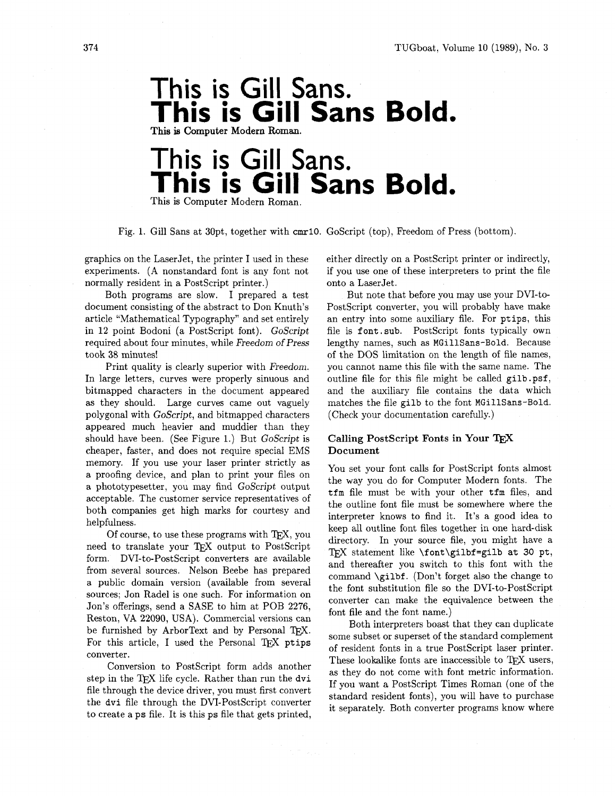

# This is Gill Sans. **This is Gill Sans Bold.**

This is Computer Modern Roman.

Fig. 1. Gill Sans at 30pt, together with **cmr10.** GoScript (top), Freedom of Press (bottom).

graphics on the LaserJet, the printer I used in these experiments. (A nonstandard font is any font not normally resident in a PostScript printer.)

Both programs are slow. I prepared a test document consisting of the abstract to Don Knuth's article "Mathematical Typography" and set entirely in 12 point Bodoni (a Postscript font). GoScript required about four minutes, while Freedom of Press took 38 minutes!

Print quality is clearly superior with Freedom. In large letters, curves were properly sinuous and bitmapped characters in the document appeared as they should. Large curves came out vaguely polygonal with GoScript, and bitmapped characters appeared much heavier and muddier than they should have been. (See Figure 1.) But GoScript is cheaper, faster, and does not require special EMS memory. If you use your laser printer strictly as a proofing device, and plan to print your files on a phototypesetter, you may find GoScript output acceptable. The customer service representatives of both companies get high marks for courtesy and helpfulness.

Of course, to use these programs with  $T_{E}X$ , you need to translate your TFX output to PostScript form. DVI-to-PostScript converters are available from several sources. Nelson Beebe has prepared a public domain version (available from several sources; Jon Radel is one such. For information on Jon's offerings, send a SASE to him at POB 2276, Reston, VA 22090, USA). Commercial versions can be furnished by ArborText and by Personal TEX. For this article, I used the Personal TFX ptips converter.

Conversion to PostScript form adds another step in the TEX life cycle. Rather than run the dvi file through the device driver, you must first convert the dvi file through the DVI-PostScript converter to create a ps file. It is this ps file that gets printed,

either directly on a PostScript printer or indirectly, if you use one of these interpreters to print the file onto a LaserJet.

But note that before you may use your DVI-to-PostScript converter, you will probably have make an entry into some auxiliary file. For ptips, this file is font. sub. PostScript fonts typically own lengthy names, such as MGillSans-Bold. Because of the DOS limitation on the length of file names, you cannot name this file with the same name. The outline file for this file might be called gilb.psf, and the auxiliary file contains the data which matches the file gilb to the font MGillSans-Bold. (Check your documentation carefully.)

# **Calling PostScript Fonts in Your TFX Document**

You set your font calls for PostScript fonts almost the way you do for Computer Modern fonts. The tfm file must be with your other tfm files, and the outline font file must be somewhere where the interpreter knows to find it. It's a good idea to keep all outline font files together in one hard-disk directory. In your source file, you might have a TFX statement like  $\forall$ font $\exists$ ilbf=gilb at 30 pt, and thereafter you switch to this font with the command \gilbf. (Don't forget also the change to the font substitution file so the DVI-to-PostScript converter can make the equivalence between the font file and the font name.)

Both interpreters boast that they can duplicate some subset or superset of the standard complement of resident fonts in a true PostScript laser printer. These lookalike fonts are inaccessible to TFX users, as they do not come with font metric information. If you want a PostScript Times Roman (one of the standard resident fonts), you will have to purchase it separately. Both converter programs know where